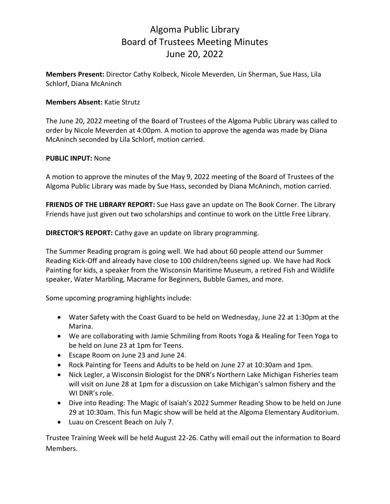## Algoma Public Library Board of Trustees Meeting Minutes June 20, 2022

**Members Present:** Director Cathy Kolbeck, Nicole Meverden, Lin Sherman, Sue Hass, Lila Schlorf, Diana McAninch

## **Members Absent:** Katie Strutz

The June 20, 2022 meeting of the Board of Trustees of the Algoma Public Library was called to order by Nicole Meverden at 4:00pm. A motion to approve the agenda was made by Diana McAninch seconded by Lila Schlorf, motion carried.

## **PUBLIC INPUT:** None

A motion to approve the minutes of the May 9, 2022 meeting of the Board of Trustees of the Algoma Public Library was made by Sue Hass, seconded by Diana McAninch, motion carried.

**FRIENDS OF THE LIBRARY REPORT:** Sue Hass gave an update on The Book Corner. The Library Friends have just given out two scholarships and continue to work on the Little Free Library.

**DIRECTOR'S REPORT:** Cathy gave an update on library programming.

The Summer Reading program is going well. We had about 60 people attend our Summer Reading Kick-Off and already have close to 100 children/teens signed up. We have had Rock Painting for kids, a speaker from the Wisconsin Maritime Museum, a retired Fish and Wildlife speaker, Water Marbling, Macrame for Beginners, Bubble Games, and more.

Some upcoming programing highlights include:

- Water Safety with the Coast Guard to be held on Wednesday, June 22 at 1:30pm at the Marina.
- We are collaborating with Jamie Schmiling from Roots Yoga & Healing for Teen Yoga to be held on June 23 at 1pm for Teens.
- Escape Room on June 23 and June 24.
- Rock Painting for Teens and Adults to be held on June 27 at 10:30am and 1pm.
- Nick Legler, a Wisconsin Biologist for the DNR's Northern Lake Michigan Fisheries team will visit on June 28 at 1pm for a discussion on Lake Michigan's salmon fishery and the WI DNR's role.
- Dive into Reading: The Magic of Isaiah's 2022 Summer Reading Show to be held on June 29 at 10:30am. This fun Magic show will be held at the Algoma Elementary Auditorium.
- Luau on Crescent Beach on July 7.

Trustee Training Week will be held August 22-26. Cathy will email out the information to Board Members.